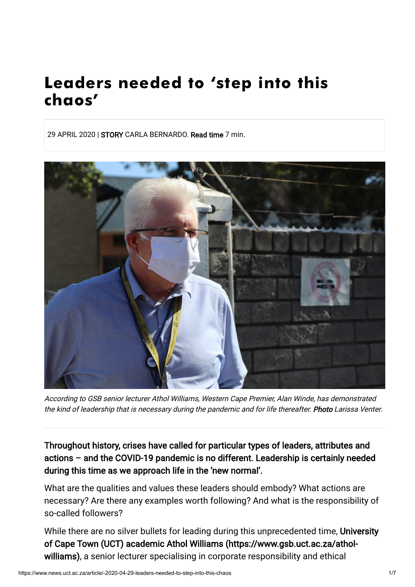# Leaders needed to 'step into this chaos'

29 APRIL 2020 | STORY CARLA BERNARDO. Read time 7 min.



According to GSB senior lecturer Athol Williams, Western Cape Premier, Alan Winde, has demonstrated the kind of leadership that is necessary during the pandemic and for life thereafter. Photo Larissa Venter.

Throughout history, crises have called for particular types of leaders, attributes and actions – and the COVID-19 pandemic is no different. Leadership is certainly needed during this time as we approach life in the 'new normal'.

What are the qualities and values these leaders should embody? What actions are necessary? Are there any examples worth following? And what is the responsibility of so-called followers?

[While there are no silver bullets for leading during this unprecedented time, University](https://www.gsb.uct.ac.za/athol-williams) of Cape Town (UCT) academic Athol Williams (https://www.gsb.uct.ac.za/atholwilliams), a senior lecturer specialising in corporate responsibility and ethical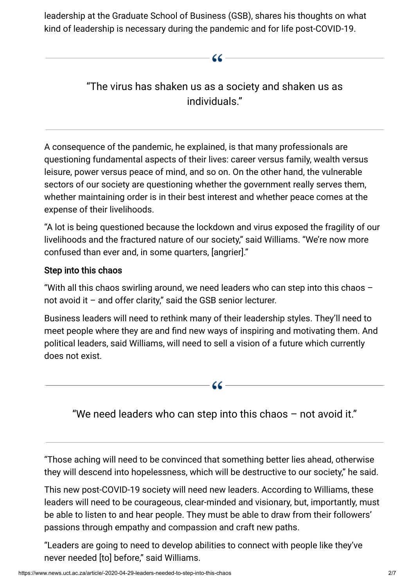leadership at the Graduate School of Business (GSB), shares his thoughts on what kind of leadership is necessary during the pandemic and for life post-COVID-19.

# "The virus has shaken us as a society and shaken us as individuals."

 $-66-$ 

A consequence of the pandemic, he explained, is that many professionals are questioning fundamental aspects of their lives: career versus family, wealth versus leisure, power versus peace of mind, and so on. On the other hand, the vulnerable sectors of our society are questioning whether the government really serves them, whether maintaining order is in their best interest and whether peace comes at the expense of their livelihoods.

"A lot is being questioned because the lockdown and virus exposed the fragility of our livelihoods and the fractured nature of our society," said Williams. "We're now more confused than ever and, in some quarters, [angrier]."

## Step into this chaos

"With all this chaos swirling around, we need leaders who can step into this chaos – not avoid it – and offer clarity," said the GSB senior lecturer.

Business leaders will need to rethink many of their leadership styles. They'll need to meet people where they are and find new ways of inspiring and motivating them. And political leaders, said Williams, will need to sell a vision of a future which currently does not exist.

"We need leaders who can step into this chaos – not avoid it."

- 66 —

"Those aching will need to be convinced that something better lies ahead, otherwise they will descend into hopelessness, which will be destructive to our society," he said.

This new post-COVID-19 society will need new leaders. According to Williams, these leaders will need to be courageous, clear-minded and visionary, but, importantly, must be able to listen to and hear people. They must be able to draw from their followers' passions through empathy and compassion and craft new paths.

"Leaders are going to need to develop abilities to connect with people like they've never needed [to] before," said Williams.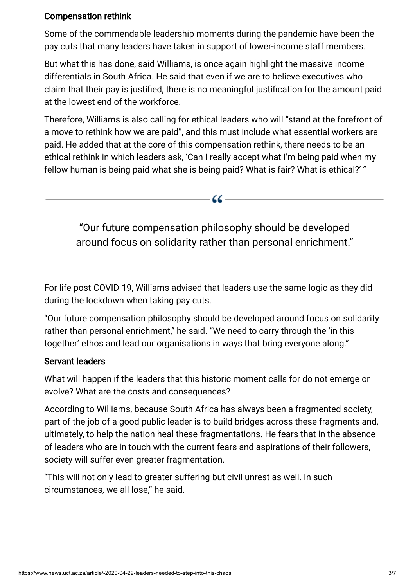### Compensation rethink

Some of the commendable leadership moments during the pandemic have been the pay cuts that many leaders have taken in support of lower-income staff members.

But what this has done, said Williams, is once again highlight the massive income differentials in South Africa. He said that even if we are to believe executives who claim that their pay is justified, there is no meaningful justification for the amount paid at the lowest end of the workforce.

Therefore, Williams is also calling for ethical leaders who will "stand at the forefront of a move to rethink how we are paid", and this must include what essential workers are paid. He added that at the core of this compensation rethink, there needs to be an ethical rethink in which leaders ask, 'Can I really accept what I'm being paid when my fellow human is being paid what she is being paid? What is fair? What is ethical?' "

"Our future compensation philosophy should be developed around focus on solidarity rather than personal enrichment."

- 66 -

For life post-COVID-19, Williams advised that leaders use the same logic as they did during the lockdown when taking pay cuts.

"Our future compensation philosophy should be developed around focus on solidarity rather than personal enrichment," he said. "We need to carry through the 'in this together' ethos and lead our organisations in ways that bring everyone along."

#### Servant leaders

What will happen if the leaders that this historic moment calls for do not emerge or evolve? What are the costs and consequences?

According to Williams, because South Africa has always been a fragmented society, part of the job of a good public leader is to build bridges across these fragments and, ultimately, to help the nation heal these fragmentations. He fears that in the absence of leaders who are in touch with the current fears and aspirations of their followers, society will suffer even greater fragmentation.

"This will not only lead to greater suffering but civil unrest as well. In such circumstances, we all lose," he said.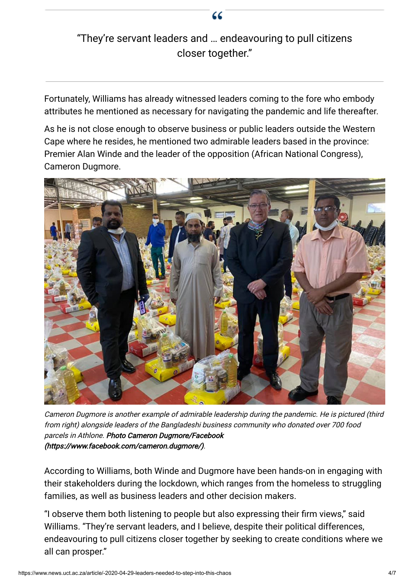# "They're servant leaders and … endeavouring to pull citizens closer together."

Fortunately, Williams has already witnessed leaders coming to the fore who embody attributes he mentioned as necessary for navigating the pandemic and life thereafter.

As he is not close enough to observe business or public leaders outside the Western Cape where he resides, he mentioned two admirable leaders based in the province: Premier Alan Winde and the leader of the opposition (African National Congress), Cameron Dugmore.



Cameron Dugmore is another example of admirable leadership during the pandemic. He is pictured (third from right) alongside leaders of the Bangladeshi business community who donated over 700 food parcels in Athlone. Photo Cameron Dugmore/Facebook [\(https://www.facebook.com/cameron.dugmore/\).](https://www.facebook.com/cameron.dugmore/)

According to Williams, both Winde and Dugmore have been hands-on in engaging with their stakeholders during the lockdown, which ranges from the homeless to struggling families, as well as business leaders and other decision makers.

"I observe them both listening to people but also expressing their firm views," said Williams. "They're servant leaders, and I believe, despite their political differences, endeavouring to pull citizens closer together by seeking to create conditions where we all can prosper."